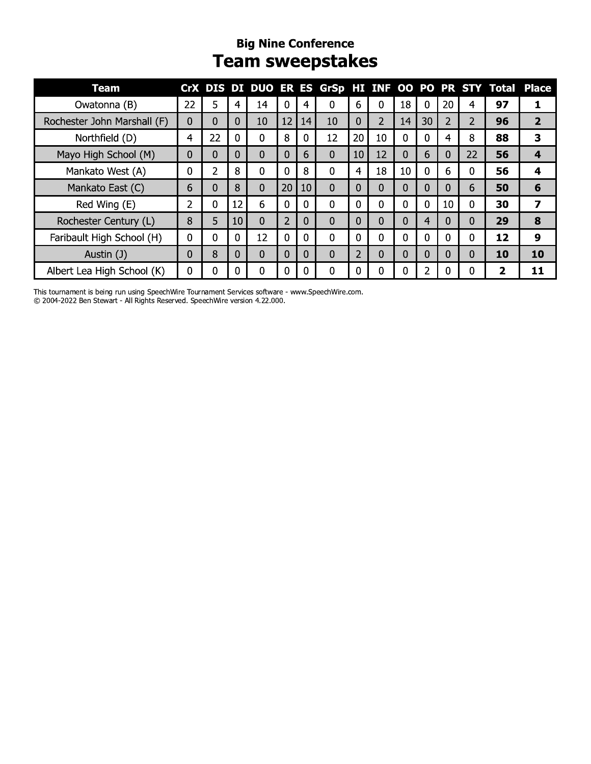#### **Big Nine Conference Team sweepstakes**

| <b>Team</b>                 |    |                |    |          |                |    |                |                |                |    |    |    |          |    | CrX DIS DI DUO ER ES GrSp HI INF OO PO PR STY Total Place |
|-----------------------------|----|----------------|----|----------|----------------|----|----------------|----------------|----------------|----|----|----|----------|----|-----------------------------------------------------------|
| Owatonna (B)                | 22 | 5              | 4  | 14       | 0              |    | 0              | 6              | 0              | 18 | 0  | 20 | 4        | 97 |                                                           |
| Rochester John Marshall (F) | 0  | 0              | 0  | 10       | 12             | 14 | 10             | 0              | $\overline{2}$ | 14 | 30 | 2  | 2        | 96 | $\overline{2}$                                            |
| Northfield (D)              | 4  | 22             | 0  | $\Omega$ | 8              |    | 12             | 20             | 10             | 0  | 0  | 4  | 8        | 88 | 3                                                         |
| Mayo High School (M)        | 0  | 0              | 0  | $\Omega$ | 0              | 6  | $\overline{0}$ | 10             | 12             | 0  | 6  | 0  | 22       | 56 | $\overline{4}$                                            |
| Mankato West (A)            | 0  | $\overline{2}$ | 8  | 0        | 0              | 8  | 0              | 4              | 18             | 10 | 0  | 6  | 0        | 56 | 4                                                         |
| Mankato East (C)            | 6  | 0              | 8  | $\Omega$ | 20             | 10 | $\Omega$       | 0              | 0              | 0  | 0  | 0  | 6        | 50 | 6                                                         |
| Red Wing (E)                | 2  | 0              | 12 | 6        | 0              |    | $\Omega$       | 0              | 0              | 0  | 0  | 10 | 0        | 30 |                                                           |
| Rochester Century (L)       | 8  | 5              | 10 | $\Omega$ | $\overline{2}$ | 0  | 0              | $\overline{0}$ | 0              | 0  | 4  | 0  | $\Omega$ | 29 | 8                                                         |
| Faribault High School (H)   | 0  | 0              | 0  | 12       | 0              |    | $\Omega$       | 0              | $\Omega$       | 0  | 0  | 0  | 0        | 12 | 9                                                         |
| Austin (J)                  | 0  | 8              | 0  | 0        | $\Omega$       |    | 0              | 2              | 0              | 0  | 0  | 0  | $\Omega$ | 10 | 10                                                        |
| Albert Lea High School (K)  | 0  | O.             |    | 0        | 0              |    | 0              | 0              | 0              |    |    |    |          |    | 11                                                        |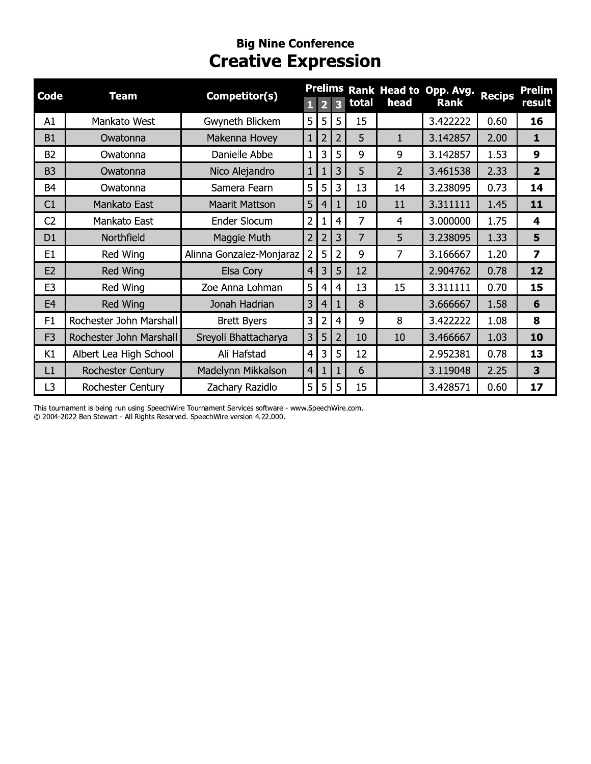## **Big Nine Conference**<br>**Creative Expression**

| Code           | <b>Team</b>              | Competitor(s)            |                |                |                         |       |                | Prelims Rank Head to Opp. Avg. | <b>Recips</b> | Prelim                  |
|----------------|--------------------------|--------------------------|----------------|----------------|-------------------------|-------|----------------|--------------------------------|---------------|-------------------------|
|                |                          |                          | П              | 2              | $\overline{\mathbf{3}}$ | total | head           | Rank                           |               | <b>result</b>           |
| A1             | Mankato West             | Gwyneth Blickem          | 5              | 5              | 5                       | 15    |                | 3.422222                       | 0.60          | 16                      |
| <b>B1</b>      | Owatonna                 | Makenna Hovey            | $\mathbf{1}$   | $\overline{2}$ | $\overline{2}$          | 5     | 1              | 3.142857                       | 2.00          | $\mathbf{1}$            |
| <b>B2</b>      | Owatonna                 | Danielle Abbe            | $\mathbf{1}$   | 3              | 5                       | 9     | 9              | 3.142857                       | 1.53          | 9                       |
| B <sub>3</sub> | Owatonna                 | Nico Alejandro           | $\mathbf{1}$   | 1              | 3                       | 5     | $\overline{2}$ | 3.461538                       | 2.33          | $\overline{2}$          |
| B <sub>4</sub> | Owatonna                 | Samera Fearn             | 5              | 5              | 3                       | 13    | 14             | 3.238095                       | 0.73          | 14                      |
| C1             | Mankato East             | <b>Maarit Mattson</b>    | 5              | 4              |                         | 10    | 11             | 3.311111                       | 1.45          | 11                      |
| C <sub>2</sub> | Mankato East             | Ender Slocum             | $\overline{2}$ | 1              | 4                       | 7     | 4              | 3.000000                       | 1.75          | 4                       |
| D <sub>1</sub> | Northfield               | Maggie Muth              | $\overline{2}$ | $\overline{2}$ | 3                       | 7     | 5              | 3.238095                       | 1.33          | 5                       |
| E <sub>1</sub> | Red Wing                 | Alinna Gonzalez-Monjaraz | $\overline{2}$ | 5              | 2                       | 9     | 7              | 3.166667                       | 1.20          | $\overline{\mathbf{z}}$ |
| E <sub>2</sub> | Red Wing                 | Elsa Cory                | 4              | 3              | 5                       | 12    |                | 2.904762                       | 0.78          | 12                      |
| E3             | Red Wing                 | Zoe Anna Lohman          | 5              | 4              | 4                       | 13    | 15             | 3.311111                       | 0.70          | 15                      |
| E <sub>4</sub> | Red Wing                 | Jonah Hadrian            | 3              | 4              | 1                       | 8     |                | 3.666667                       | 1.58          | 6                       |
| F1             | Rochester John Marshall  | <b>Brett Byers</b>       | 3              | $\overline{2}$ | 4                       | 9     | 8              | 3.422222                       | 1.08          | 8                       |
| F <sub>3</sub> | Rochester John Marshall  | Sreyoli Bhattacharya     | 3              | 5              | $\overline{2}$          | 10    | 10             | 3.466667                       | 1.03          | 10                      |
| K1             | Albert Lea High School   | Ali Hafstad              | $\overline{4}$ | 3              | 5                       | 12    |                | 2.952381                       | 0.78          | 13                      |
| L1             | Rochester Century        | Madelynn Mikkalson       | $\overline{4}$ | 1              | 1                       | 6     |                | 3.119048                       | 2.25          | 3                       |
| L <sub>3</sub> | <b>Rochester Century</b> | Zachary Razidlo          | 5              | 5              | 5                       | 15    |                | 3.428571                       | 0.60          | 17                      |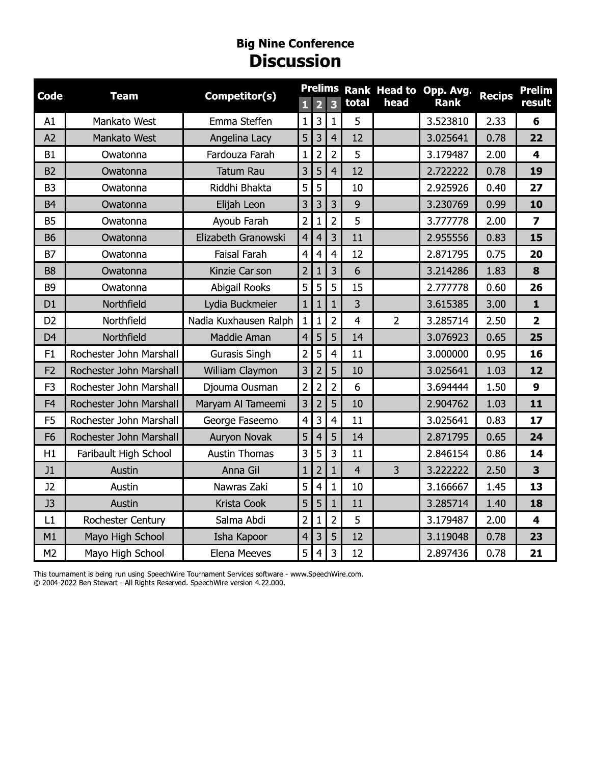#### **Big Nine Conference DISCUSSION**

| <b>Code</b>    | <b>Team</b>             | Competitor(s)         | $\mathbf{1}$   | $\overline{\mathbf{2}}$ | <b>Prelims</b><br>$\overline{\mathbf{3}}$ | total       | head           | Rank Head to Opp. Avg.<br><b>Rank</b> | <b>Recips</b> | <b>Prelim</b><br>result |
|----------------|-------------------------|-----------------------|----------------|-------------------------|-------------------------------------------|-------------|----------------|---------------------------------------|---------------|-------------------------|
| A1             | Mankato West            | Emma Steffen          | $\mathbf 1$    | 3                       | $\mathbf{1}$                              | 5           |                | 3.523810                              | 2.33          | 6                       |
| A2             | Mankato West            | Angelina Lacy         | 5 <sub>1</sub> | 3                       | $\overline{4}$                            | 12          |                | 3.025641                              | 0.78          | 22                      |
| <b>B1</b>      | Owatonna                | Fardouza Farah        | 1              | $\overline{2}$          | $\overline{2}$                            | 5           |                | 3.179487                              | 2.00          | 4                       |
| B <sub>2</sub> | Owatonna                | <b>Tatum Rau</b>      | 3              | 5                       | $\overline{4}$                            | 12          |                | 2.722222                              | 0.78          | 19                      |
| B <sub>3</sub> | Owatonna                | Riddhi Bhakta         | 5 <sup>1</sup> | 5                       |                                           | 10          |                | 2.925926                              | 0.40          | 27                      |
| <b>B4</b>      | Owatonna                | Elijah Leon           | 3 <sup>1</sup> | 3                       | 3                                         | $\mathsf 9$ |                | 3.230769                              | 0.99          | 10                      |
| <b>B5</b>      | Owatonna                | Ayoub Farah           | $\overline{2}$ | $\mathbf{1}$            | $\overline{2}$                            | 5           |                | 3.777778                              | 2.00          | $\overline{\mathbf{z}}$ |
| <b>B6</b>      | Owatonna                | Elizabeth Granowski   | 4              | $\overline{a}$          | 3                                         | 11          |                | 2.955556                              | 0.83          | 15                      |
| <b>B7</b>      | Owatonna                | Faisal Farah          | 4 <sup>1</sup> | 4                       | $\overline{4}$                            | 12          |                | 2.871795                              | 0.75          | 20                      |
| B <sub>8</sub> | Owatonna                | Kinzie Carlson        | 2 <sup>1</sup> |                         | 3                                         | 6           |                | 3.214286                              | 1.83          | 8                       |
| B <sub>9</sub> | Owatonna                | Abigail Rooks         | 5 <sub>1</sub> | 5                       | 5                                         | 15          |                | 2.777778                              | 0.60          | 26                      |
| D <sub>1</sub> | Northfield              | Lydia Buckmeier       | 1 <sup>1</sup> | 1                       |                                           | 3           |                | 3.615385                              | 3.00          | $\mathbf{1}$            |
| D <sub>2</sub> | Northfield              | Nadia Kuxhausen Ralph |                | 1                       | $\overline{2}$                            | 4           | $\overline{2}$ | 3.285714                              | 2.50          | $\overline{\mathbf{2}}$ |
| D <sub>4</sub> | Northfield              | Maddie Aman           | 4              | 5                       | 5                                         | 14          |                | 3.076923                              | 0.65          | 25                      |
| F1             | Rochester John Marshall | Gurasis Singh         | $\overline{2}$ | 5                       | $\overline{4}$                            | 11          |                | 3.000000                              | 0.95          | 16                      |
| F <sub>2</sub> | Rochester John Marshall | William Claymon       | 3 <sup>1</sup> | $\overline{2}$          | 5                                         | 10          |                | 3.025641                              | 1.03          | 12                      |
| F <sub>3</sub> | Rochester John Marshall | Djouma Ousman         | $\overline{2}$ | $\overline{2}$          | $\overline{2}$                            | 6           |                | 3.694444                              | 1.50          | $\boldsymbol{9}$        |
| F <sub>4</sub> | Rochester John Marshall | Maryam Al Tameemi     | 3 <sup>1</sup> | $\overline{2}$          | 5                                         | 10          |                | 2.904762                              | 1.03          | 11                      |
| F <sub>5</sub> | Rochester John Marshall | George Faseemo        | 4 <sup>1</sup> | 3                       | $\overline{4}$                            | 11          |                | 3.025641                              | 0.83          | 17                      |
| F <sub>6</sub> | Rochester John Marshall | Auryon Novak          | 5 <sub>1</sub> | 4                       | 5                                         | 14          |                | 2.871795                              | 0.65          | 24                      |
| H1             | Faribault High School   | <b>Austin Thomas</b>  | 3 <sup>1</sup> | 5                       | $\overline{3}$                            | 11          |                | 2.846154                              | 0.86          | 14                      |
| J1             | Austin                  | Anna Gil              | 1 <sup>1</sup> | $\overline{2}$          | $\mathbf{1}$                              | 4           | 3              | 3.222222                              | 2.50          | 3                       |
| J2             | Austin                  | Nawras Zaki           | 5 <sub>1</sub> | 4                       | $\mathbf{1}$                              | 10          |                | 3.166667                              | 1.45          | 13                      |
| J3             | Austin                  | Krista Cook           | 5              | 5                       | $\mathbf{1}$                              | 11          |                | 3.285714                              | 1.40          | 18                      |
| L1             | Rochester Century       | Salma Abdi            | 2              | 1                       | $\overline{2}$                            | 5           |                | 3.179487                              | 2.00          | 4                       |
| M1             | Mayo High School        | Isha Kapoor           | 4 <sub>1</sub> | 3                       | 5                                         | 12          |                | 3.119048                              | 0.78          | 23                      |
| M2             | Mayo High School        | Elena Meeves          | 5 <sup>1</sup> | 4                       | 3                                         | 12          |                | 2.897436                              | 0.78          | 21                      |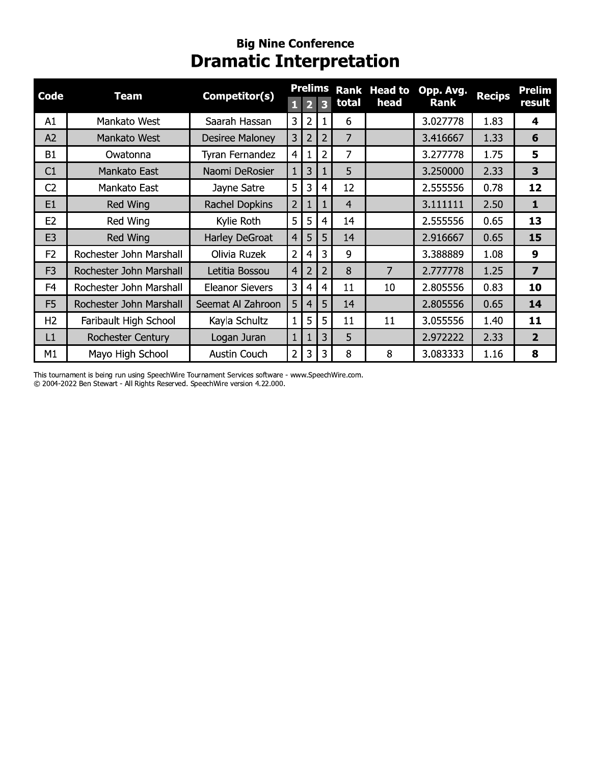## **Big Nine Conference**<br>**Dramatic Interpretation**

| <b>Code</b>    | <b>Team</b>              | Competitor(s)          |                | <b>Prelims</b>          |                |                | <b>Rank Head to</b> | Opp. Avg. | <b>Recips</b> | <b>Prelim</b>           |
|----------------|--------------------------|------------------------|----------------|-------------------------|----------------|----------------|---------------------|-----------|---------------|-------------------------|
|                |                          |                        | 1              | $\overline{\mathbf{2}}$ | 3              | total          | head                | Rank      |               | result                  |
| A1             | Mankato West             | Saarah Hassan          | 3              | $\overline{2}$          | 1              | 6              |                     | 3.027778  | 1.83          | 4                       |
| A2             | Mankato West             | Desiree Maloney        | 3              | $\overline{2}$          | $\overline{2}$ | 7              |                     | 3.416667  | 1.33          | 6                       |
| <b>B1</b>      | Owatonna                 | Tyran Fernandez        | $\overline{4}$ | 1                       | 2              | 7              |                     | 3.277778  | 1.75          | 5                       |
| C1             | Mankato East             | Naomi DeRosier         | $\mathbf{1}$   | 3                       | 1              | 5              |                     | 3.250000  | 2.33          | 3                       |
| C <sub>2</sub> | Mankato East             | Jayne Satre            | 5              | 3                       | $\overline{4}$ | 12             |                     | 2.555556  | 0.78          | 12                      |
| E <sub>1</sub> | Red Wing                 | Rachel Dopkins         | $\overline{2}$ | 1                       | 1              | $\overline{4}$ |                     | 3.111111  | 2.50          | $\mathbf{1}$            |
| E <sub>2</sub> | Red Wing                 | Kylie Roth             | 5              | 5                       | 4              | 14             |                     | 2.555556  | 0.65          | 13                      |
| E <sub>3</sub> | Red Wing                 | Harley DeGroat         | $\overline{4}$ | 5                       | 5              | 14             |                     | 2.916667  | 0.65          | 15                      |
| F <sub>2</sub> | Rochester John Marshall  | Olivia Ruzek           | $\overline{2}$ | $\overline{4}$          | 3              | 9              |                     | 3.388889  | 1.08          | $\boldsymbol{9}$        |
| F <sub>3</sub> | Rochester John Marshall  | Letitia Bossou         | $\overline{4}$ | $\overline{2}$          | $\overline{2}$ | 8              | 7                   | 2.777778  | 1.25          | $\overline{\mathbf{z}}$ |
| F <sub>4</sub> | Rochester John Marshall  | <b>Eleanor Sievers</b> | 3              | 4                       | 4              | 11             | 10                  | 2.805556  | 0.83          | 10                      |
| F <sub>5</sub> | Rochester John Marshall  | Seemat Al Zahroon      | 5              | $\overline{4}$          | 5              | 14             |                     | 2.805556  | 0.65          | 14                      |
| H <sub>2</sub> | Faribault High School    | Kayla Schultz          | 1              | 5                       | 5              | 11             | 11                  | 3.055556  | 1.40          | 11                      |
| L1             | <b>Rochester Century</b> | Logan Juran            | $\mathbf{1}$   | 1                       | 3              | 5              |                     | 2.972222  | 2.33          | $\overline{2}$          |
| M1             | Mayo High School         | Austin Couch           | 2 <sup>1</sup> | 3                       | 3              | 8              | 8                   | 3.083333  | 1.16          | 8                       |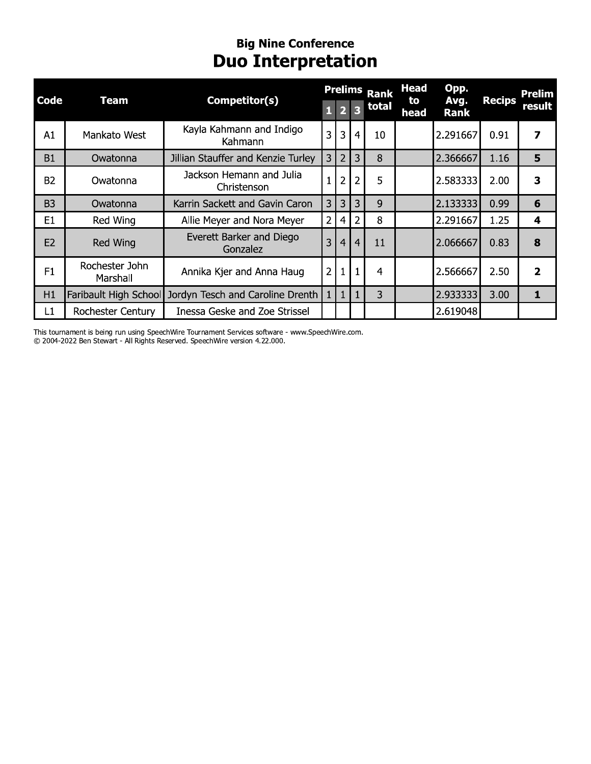## **Big Nine Conference**<br>**Duo Interpretation**

|                |                            |                                                        |                |                |                         | <b>Prelims Rank</b> | <b>Head</b> | Opp.                |               | Prelim         |
|----------------|----------------------------|--------------------------------------------------------|----------------|----------------|-------------------------|---------------------|-------------|---------------------|---------------|----------------|
| <b>Code</b>    | <b>Team</b>                | Competitor(s)                                          | 1              |                | $\overline{\mathbf{3}}$ | total               | to<br>head  | Avg.<br><b>Rank</b> | <b>Recips</b> | result         |
| A1             | Mankato West               | Kayla Kahmann and Indigo<br>Kahmann                    | 3              | 3              | $\overline{4}$          | 10                  |             | 2.291667            | 0.91          | 7              |
| <b>B1</b>      | Owatonna                   | Jillian Stauffer and Kenzie Turley                     | 3              | $\overline{2}$ | 3                       | 8                   |             | 2.366667            | 1.16          | 5              |
| <b>B2</b>      | Owatonna                   | Jackson Hemann and Julia<br>Christenson                |                | $\overline{2}$ | $\overline{2}$          | 5                   |             | 2.583333            | 2.00          | 3              |
| B <sub>3</sub> | Owatonna                   | Karrin Sackett and Gavin Caron                         | 3              | 3              | 3                       | 9                   |             | 2.133333            | 0.99          | 6              |
| E <sub>1</sub> | Red Wing                   | Allie Meyer and Nora Meyer                             | 2              | 4              | 2                       | 8                   |             | 2.291667            | 1.25          | 4              |
| E2             | Red Wing                   | Everett Barker and Diego<br>Gonzalez                   | 3              | $\overline{4}$ | $\overline{4}$          | 11                  |             | 2.066667            | 0.83          | 8              |
| F1             | Rochester John<br>Marshall | Annika Kjer and Anna Haug                              | $\overline{2}$ |                |                         | 4                   |             | 2.566667            | 2.50          | $\overline{2}$ |
| H1             |                            | Faribault High School Jordyn Tesch and Caroline Drenth |                | $\mathbf{1}$   | 1                       | 3                   |             | 2.933333            | 3.00          | $\mathbf{1}$   |
| L1             | Rochester Century          | <b>Inessa Geske and Zoe Strissel</b>                   |                |                |                         |                     |             | 2.619048            |               |                |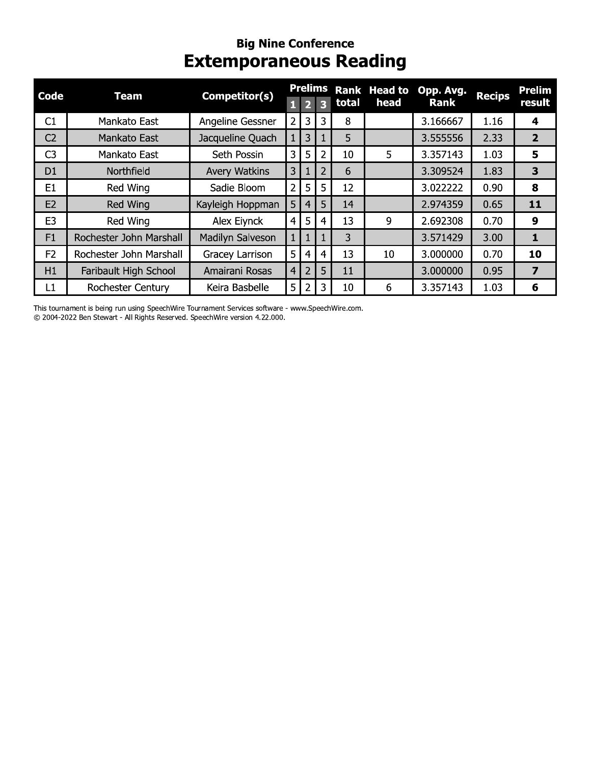#### **Big Nine Conference Extemporaneous Reading**

| Code           | <b>Team</b>             | Competitor(s)        |                |                | <b>Prelims</b>          |       | <b>Rank Head to</b> | Opp. Avg.   |               | <b>Prelim</b>           |
|----------------|-------------------------|----------------------|----------------|----------------|-------------------------|-------|---------------------|-------------|---------------|-------------------------|
|                |                         |                      |                | 2              | $\overline{\mathbf{z}}$ | total | head                | <b>Rank</b> | <b>Recips</b> | result                  |
| C1             | Mankato East            | Angeline Gessner     | 2 <sup>1</sup> | 3              | 3                       | 8     |                     | 3.166667    | 1.16          | 4                       |
| C <sub>2</sub> | Mankato East            | Jacqueline Quach     | 1              | 3              |                         | 5     |                     | 3.555556    | 2.33          | $\overline{2}$          |
| C <sub>3</sub> | Mankato East            | Seth Possin          | 3              | 5              | 2                       | 10    | 5                   | 3.357143    | 1.03          | 5                       |
| D <sub>1</sub> | Northfield              | <b>Avery Watkins</b> | 3              | $\mathbf{1}$   | $\overline{2}$          | 6     |                     | 3.309524    | 1.83          | 3                       |
| E <sub>1</sub> | Red Wing                | Sadie Bloom          | $2^{\circ}$    | 5              | 5                       | 12    |                     | 3.022222    | 0.90          | 8                       |
| E <sub>2</sub> | Red Wing                | Kayleigh Hoppman     | 5 <sub>1</sub> | $\overline{4}$ | 5                       | 14    |                     | 2.974359    | 0.65          | 11                      |
| E <sub>3</sub> | Red Wing                | Alex Eiynck          | $\overline{4}$ | 5              | 4                       | 13    | 9                   | 2.692308    | 0.70          | 9                       |
| F1             | Rochester John Marshall | Madilyn Salveson     |                | $\mathbf{1}$   |                         | 3     |                     | 3.571429    | 3.00          | 1                       |
| F <sub>2</sub> | Rochester John Marshall | Gracey Larrison      | 5              | 4              | 4                       | 13    | 10                  | 3.000000    | 0.70          | 10                      |
| H1             | Faribault High School   | Amairani Rosas       | 4 <sup>1</sup> | 2              | 5                       | 11    |                     | 3.000000    | 0.95          | $\overline{\mathbf{z}}$ |
| L1             | Rochester Century       | Keira Basbelle       | 5              | 2              | 3                       | 10    | 6                   | 3.357143    | 1.03          | 6                       |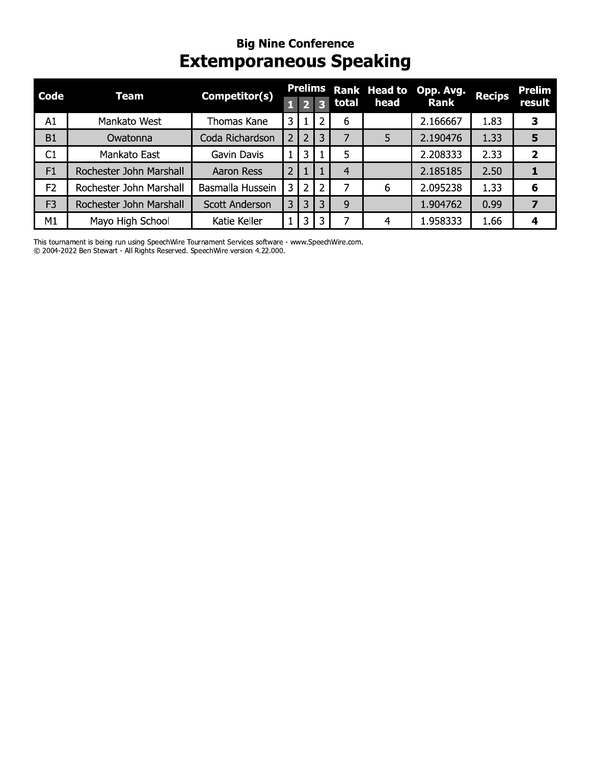#### **Big Nine Conference Extemporaneous Speaking**

| <b>Code</b>    | Team                    | Competitor(s)         |                |                | Prelims                 |       | Rank Head to | Opp. Avg.   | <b>Recips</b> | <b>Prelim</b>           |
|----------------|-------------------------|-----------------------|----------------|----------------|-------------------------|-------|--------------|-------------|---------------|-------------------------|
|                |                         |                       |                | 2 <sub>1</sub> | $\overline{\mathbf{z}}$ | total | head         | <b>Rank</b> |               | result                  |
| A1             | Mankato West            | Thomas Kane           | 3              |                | 2                       | 6     |              | 2.166667    | 1.83          | 3                       |
| B1             | Owatonna                | Coda Richardson       |                | $\overline{2}$ | 3                       |       | 5            | 2.190476    | 1.33          | 5                       |
| C1             | Mankato East            | Gavin Davis           |                | $\mathbf{3}$   |                         | 5     |              | 2.208333    | 2.33          | $\overline{\mathbf{z}}$ |
| F1             | Rochester John Marshall | <b>Aaron Ress</b>     | $\overline{2}$ |                |                         | 4     |              | 2.185185    | 2.50          |                         |
| F <sub>2</sub> | Rochester John Marshall | Basmalla Hussein      | 3              | 2              | 2                       |       | 6            | 2.095238    | 1.33          | 6                       |
| F <sub>3</sub> | Rochester John Marshall | <b>Scott Anderson</b> | 3              | 3              | 3                       | 9     |              | 1.904762    | 0.99          | 7                       |
| M1             | Mayo High School        | Katie Keller          |                | 3              | 3                       |       | 4            | 1.958333    | 1.66          | 4                       |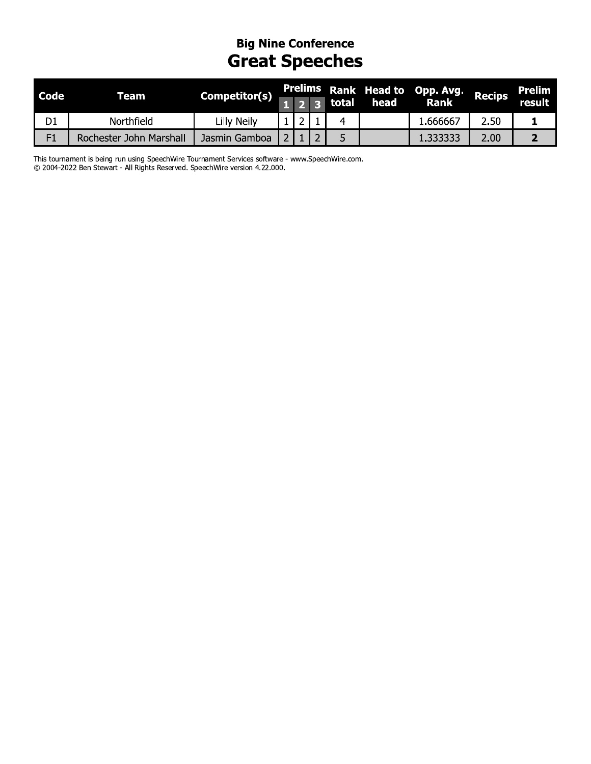## **Big Nine Conference**<br>**Great Speeches**

| <b>Code</b>    | Team                    |               |  |       |      | Prelims Rank Head to Opp. Avg. Recips |                   | Prelim |
|----------------|-------------------------|---------------|--|-------|------|---------------------------------------|-------------------|--------|
|                |                         | Competitor(s) |  | total | head | <b>Rank</b>                           |                   | result |
| D <sub>1</sub> | Northfield              | Lilly Neily   |  |       |      | 666667                                | 2.50              |        |
| F1             | Rochester John Marshall | Jasmin Gamboa |  |       |      | l.333333                              | 2.00 <sub>1</sub> |        |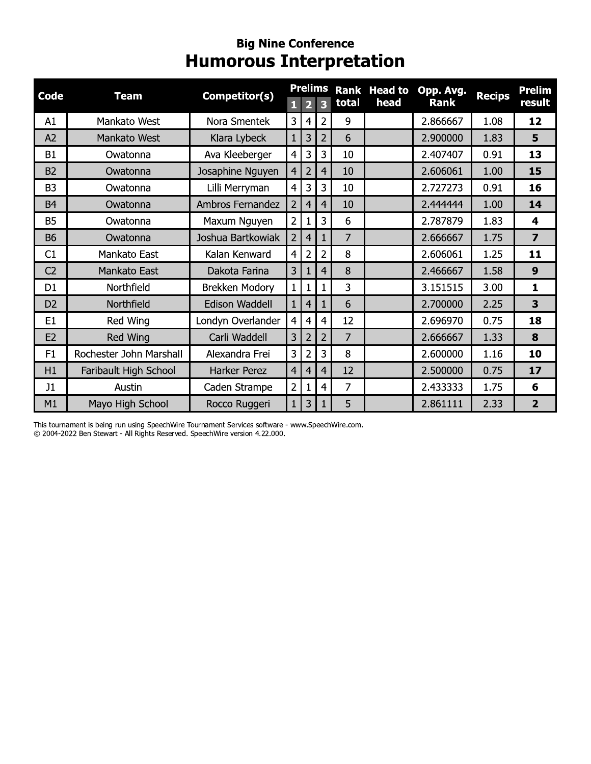#### **Big Nine Conference Humorous Interpretation**

|                |                         |                   |                | <b>Prelims</b>          |                         |                | Rank Head to | Opp. Avg.   |               | <b>Prelim</b>           |
|----------------|-------------------------|-------------------|----------------|-------------------------|-------------------------|----------------|--------------|-------------|---------------|-------------------------|
| <b>Code</b>    | <b>Team</b>             | Competitor(s)     | п              | $\overline{\mathbf{2}}$ | $\overline{\mathbf{3}}$ | total          | head         | <b>Rank</b> | <b>Recips</b> | result                  |
| A1             | Mankato West            | Nora Smentek      | 3              | 4                       | $\overline{2}$          | 9              |              | 2.866667    | 1.08          | 12                      |
| A2             | Mankato West            | Klara Lybeck      | 1              | 3                       | $\overline{2}$          | 6              |              | 2.900000    | 1.83          | 5                       |
| <b>B1</b>      | Owatonna                | Ava Kleeberger    | $\overline{4}$ | 3                       | 3                       | 10             |              | 2.407407    | 0.91          | 13                      |
| <b>B2</b>      | Owatonna                | Josaphine Nguyen  | $\overline{4}$ | $\overline{2}$          | 4                       | 10             |              | 2.606061    | 1.00          | 15                      |
| B <sub>3</sub> | Owatonna                | Lilli Merryman    | 4              | 3                       | 3                       | 10             |              | 2.727273    | 0.91          | 16                      |
| <b>B4</b>      | Owatonna                | Ambros Fernandez  | 2 <sup>1</sup> | 4                       | $\overline{4}$          | 10             |              | 2.444444    | 1.00          | 14                      |
| <b>B5</b>      | Owatonna                | Maxum Nguyen      | 2              | 1                       | 3                       | 6              |              | 2.787879    | 1.83          | 4                       |
| <b>B6</b>      | Owatonna                | Joshua Bartkowiak | $\overline{2}$ | 4                       |                         | 7              |              | 2.666667    | 1.75          | $\overline{\mathbf{z}}$ |
| C1             | Mankato East            | Kalan Kenward     | $\overline{4}$ | 2                       | 2                       | 8              |              | 2.606061    | 1.25          | 11                      |
| C <sub>2</sub> | Mankato East            | Dakota Farina     | 3              | 1                       | 4                       | 8              |              | 2.466667    | 1.58          | 9                       |
| D <sub>1</sub> | Northfield              | Brekken Modory    | $\mathbf{1}$   | 1                       | $\mathbf{1}$            | 3              |              | 3.151515    | 3.00          | $\mathbf{1}$            |
| D <sub>2</sub> | Northfield              | Edison Waddell    | $\mathbf{1}$   | 4                       | $\mathbf{1}$            | 6              |              | 2.700000    | 2.25          | 3                       |
| E <sub>1</sub> | Red Wing                | Londyn Overlander | $\overline{4}$ | 4                       | 4                       | 12             |              | 2.696970    | 0.75          | 18                      |
| E <sub>2</sub> | Red Wing                | Carli Waddell     | 3              | $\overline{2}$          | $\overline{2}$          | 7              |              | 2.666667    | 1.33          | 8                       |
| F <sub>1</sub> | Rochester John Marshall | Alexandra Frei    | 3              | 2                       | 3                       | 8              |              | 2.600000    | 1.16          | 10                      |
| H1             | Faribault High School   | Harker Perez      | $\overline{4}$ | $\overline{4}$          | 4                       | 12             |              | 2.500000    | 0.75          | 17                      |
| J1             | Austin                  | Caden Strampe     | 2              |                         | 4                       | $\overline{7}$ |              | 2.433333    | 1.75          | 6                       |
| M1             | Mayo High School        | Rocco Ruggeri     | 1              | 3                       |                         | 5              |              | 2.861111    | 2.33          | $\overline{2}$          |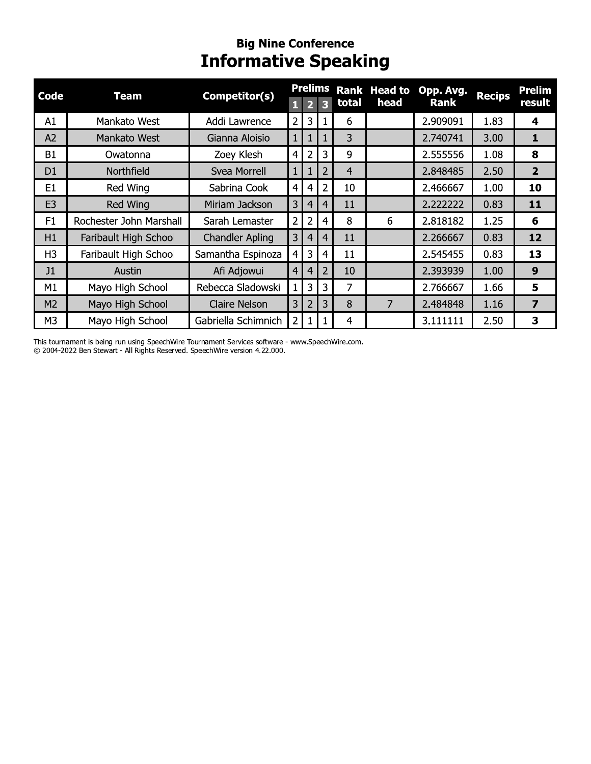# Big Nine Conference<br>Informative Speaking

| <b>Code</b>    | <b>Team</b>             | Competitor(s)          |                | <b>Prelims</b> |   |                | <b>Rank Head to</b> | Opp. Avg. | <b>Recips</b> | <b>Prelim</b>  |
|----------------|-------------------------|------------------------|----------------|----------------|---|----------------|---------------------|-----------|---------------|----------------|
|                |                         |                        | П              |                | B | total          | head                | Rank      |               | result         |
| A1             | Mankato West            | Addi Lawrence          | $\overline{2}$ | 3              |   | 6              |                     | 2.909091  | 1.83          | 4              |
| A2             | Mankato West            | Gianna Aloisio         | $\mathbf{1}$   | 1              |   | 3              |                     | 2.740741  | 3.00          | 1              |
| <b>B1</b>      | Owatonna                | Zoey Klesh             | $\overline{4}$ | $\overline{2}$ | 3 | 9              |                     | 2.555556  | 1.08          | 8              |
| D <sub>1</sub> | Northfield              | Svea Morrell           | $\mathbf{1}$   | 1              | 2 | $\overline{4}$ |                     | 2.848485  | 2.50          | 2 <sup>1</sup> |
| E1             | Red Wing                | Sabrina Cook           | $\overline{4}$ | 4              | 2 | 10             |                     | 2.466667  | 1.00          | 10             |
| E <sub>3</sub> | Red Wing                | Miriam Jackson         | 3              | 4              | 4 | 11             |                     | 2.222222  | 0.83          | 11             |
| F1             | Rochester John Marshall | Sarah Lemaster         | $\overline{2}$ | $\overline{2}$ | 4 | 8              | 6                   | 2.818182  | 1.25          | 6              |
| H1             | Faribault High School   | <b>Chandler Apling</b> | 3              | 4              | 4 | 11             |                     | 2.266667  | 0.83          | 12             |
| H <sub>3</sub> | Faribault High School   | Samantha Espinoza      | $\overline{4}$ | 3              | 4 | 11             |                     | 2.545455  | 0.83          | 13             |
| J1             | Austin                  | Afi Adjowui            | $\overline{4}$ | 4              | 2 | 10             |                     | 2.393939  | 1.00          | 9              |
| M1             | Mayo High School        | Rebecca Sladowski      | $\mathbf{1}$   | 3              | 3 | 7              |                     | 2.766667  | 1.66          | 5              |
| M2             | Mayo High School        | Claire Nelson          | 3              | $\overline{2}$ | 3 | 8              | 7                   | 2.484848  | 1.16          | 7              |
| M3             | Mayo High School        | Gabriella Schimnich    | $\overline{2}$ | 1              |   | 4              |                     | 3.111111  | 2.50          | 3              |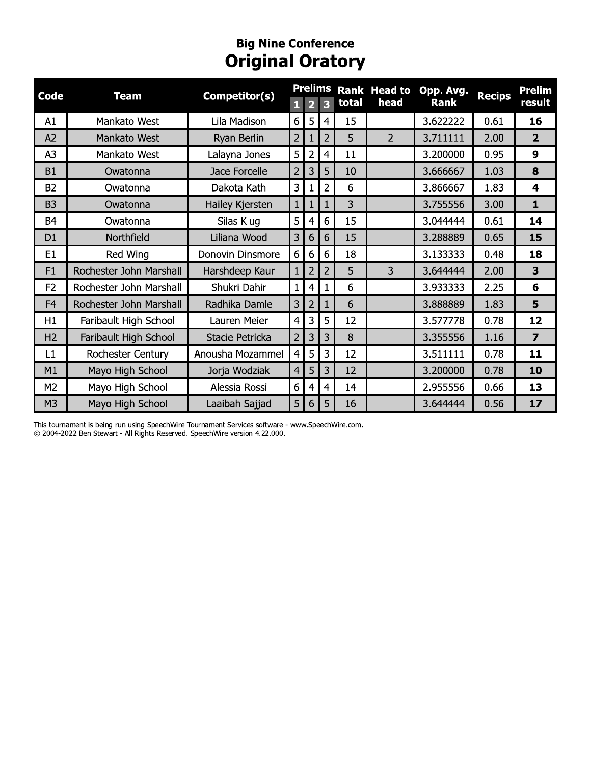#### **Big Nine Conrerence** Original Oratory

| <b>Code</b>    | <b>Team</b>             | Competitor(s)    | 1 <sup>1</sup> | $\overline{2}$  | <b>Prelims</b><br>$\overline{\mathbf{3}}$ | total          | <b>Rank Head to</b><br>head | Opp. Avg.<br><b>Rank</b> | <b>Recips</b> | <b>Prelim</b><br>result |
|----------------|-------------------------|------------------|----------------|-----------------|-------------------------------------------|----------------|-----------------------------|--------------------------|---------------|-------------------------|
| A1             | Mankato West            | Lila Madison     | 6 <sup>1</sup> | 5               | $\overline{4}$                            | 15             |                             | 3.622222                 | 0.61          | 16                      |
| A2             | Mankato West            | Ryan Berlin      | 2 <sup>1</sup> | $\mathbf{1}$    | $\overline{2}$                            | 5              | $\overline{2}$              | 3.711111                 | 2.00          | 2 <sup>1</sup>          |
| A <sub>3</sub> | Mankato West            | Lalayna Jones    | 5 <sup>1</sup> | $\overline{2}$  | $\overline{4}$                            | 11             |                             | 3.200000                 | 0.95          | 9                       |
| <b>B1</b>      | Owatonna                | Jace Forcelle    | 2 <sup>1</sup> | 3               | 5                                         | 10             |                             | 3.666667                 | 1.03          | 8                       |
| <b>B2</b>      | Owatonna                | Dakota Kath      | 3 <sup>1</sup> | $\mathbf{1}$    | $\overline{2}$                            | 6              |                             | 3.866667                 | 1.83          | $\overline{\mathbf{4}}$ |
| <b>B3</b>      | Owatonna                | Hailey Kjersten  | 1 <sup>1</sup> | $\mathbf{1}$    | $\mathbf{1}$                              | $\overline{3}$ |                             | 3.755556                 | 3.00          | $\mathbf{1}$            |
| <b>B4</b>      | Owatonna                | Silas Klug       | 5 <sup>1</sup> | $\overline{4}$  | 6                                         | 15             |                             | 3.044444                 | 0.61          | 14                      |
| D <sub>1</sub> | Northfield              | Liliana Wood     | 3              | 6               | $6\phantom{1}$                            | 15             |                             | 3.288889                 | 0.65          | 15                      |
| E <sub>1</sub> | Red Wing                | Donovin Dinsmore | 6 <sup>1</sup> | $6\phantom{1}6$ | $6\phantom{1}6$                           | 18             |                             | 3.133333                 | 0.48          | 18                      |
| F1             | Rochester John Marshall | Harshdeep Kaur   | $1\vert$       | $\overline{2}$  | $\overline{2}$                            | 5              | 3                           | 3.644444                 | 2.00          | 3                       |
| F <sub>2</sub> | Rochester John Marshall | Shukri Dahir     | $\mathbf{1}$   | $\overline{4}$  | $\mathbf{1}$                              | 6              |                             | 3.933333                 | 2.25          | 6                       |
| F <sub>4</sub> | Rochester John Marshall | Radhika Damle    | 3 <sup>1</sup> | $\overline{2}$  | $\mathbf{1}$                              | 6              |                             | 3.888889                 | 1.83          | 5                       |
| H1             | Faribault High School   | Lauren Meier     | 4 <sup>1</sup> | 3               | 5                                         | 12             |                             | 3.577778                 | 0.78          | 12                      |
| H <sub>2</sub> | Faribault High School   | Stacie Petricka  | 2 <sup>1</sup> | 3               | 3                                         | 8              |                             | 3.355556                 | 1.16          | $\overline{ }$          |
| L1             | Rochester Century       | Anousha Mozammel | 4 <sup>1</sup> | 5               | $\overline{3}$                            | 12             |                             | 3.511111                 | 0.78          | 11                      |
| M1             | Mayo High School        | Jorja Wodziak    | 4              | 5               | $\overline{3}$                            | 12             |                             | 3.200000                 | 0.78          | 10                      |
| M <sub>2</sub> | Mayo High School        | Alessia Rossi    | 6              | $\overline{4}$  | $\overline{4}$                            | 14             |                             | 2.955556                 | 0.66          | 13                      |
| M <sub>3</sub> | Mayo High School        | Laaibah Sajjad   | 5 <sup>1</sup> | 6               | 5                                         | 16             |                             | 3.644444                 | 0.56          | 17                      |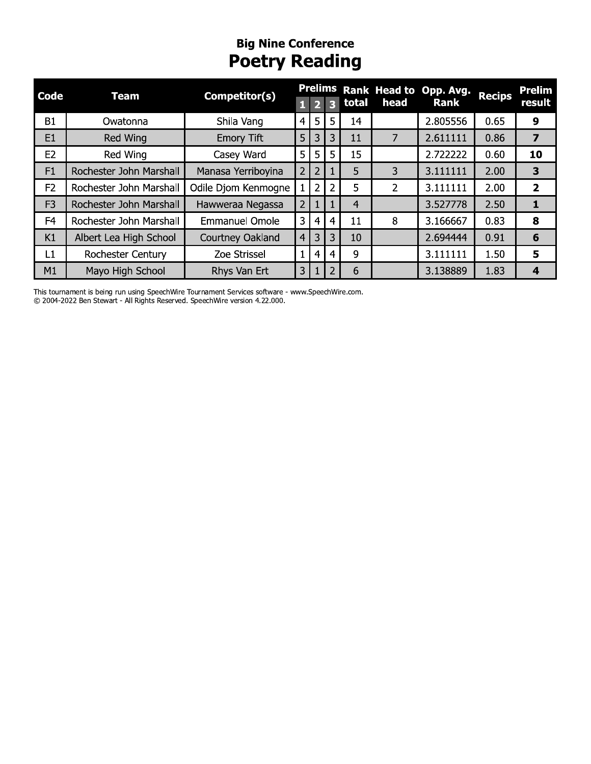## **Big Nine Conference**<br>**Poetry Reading**

| <b>Code</b>    |                         | Competitor(s)         |                |                |   |                |      | Prelims Rank Head to Opp. Avg. | <b>Recips</b> | <b>Prelim</b>           |
|----------------|-------------------------|-----------------------|----------------|----------------|---|----------------|------|--------------------------------|---------------|-------------------------|
|                | <b>Team</b>             |                       | П              |                | R | total          | head | <b>Rank</b>                    |               | result                  |
| B1             | Owatonna                | Shila Vang            | 4              | 5              | 5 | 14             |      | 2.805556                       | 0.65          | 9                       |
| E1             | Red Wing                | <b>Emory Tift</b>     | 5              | 3              | 3 | 11             | 7    | 2.611111                       | 0.86          | $\overline{\mathbf{z}}$ |
| E2             | Red Wing                | Casey Ward            | 5              | 5              | 5 | 15             |      | 2.722222                       | 0.60          | 10                      |
| F1             | Rochester John Marshall | Manasa Yerriboyina    | $\overline{2}$ | $\overline{2}$ |   | 5              | 3    | 3.111111                       | 2.00          | 3                       |
| F2             | Rochester John Marshall | Odile Djom Kenmogne   |                | $\overline{2}$ | 2 | 5              | 2    | 3.111111                       | 2.00          | $\overline{2}$          |
| F <sub>3</sub> | Rochester John Marshall | Hawweraa Negassa      | $\overline{2}$ |                |   | $\overline{4}$ |      | 3.527778                       | 2.50          |                         |
| F <sub>4</sub> | Rochester John Marshall | <b>Emmanuel Omole</b> | 3              | 4              | 4 | 11             | 8    | 3.166667                       | 0.83          | 8                       |
| K1             | Albert Lea High School  | Courtney Oakland      | $\overline{4}$ | 3              | 3 | 10             |      | 2.694444                       | 0.91          | 6                       |
| L1             | Rochester Century       | Zoe Strissel          | $\mathbf{1}$   | 4              | 4 | 9              |      | 3.111111                       | 1.50          | 5                       |
| M1             | Mayo High School        | Rhys Van Ert          | 3              |                | 2 | 6              |      | 3.138889                       | 1.83          | $\boldsymbol{4}$        |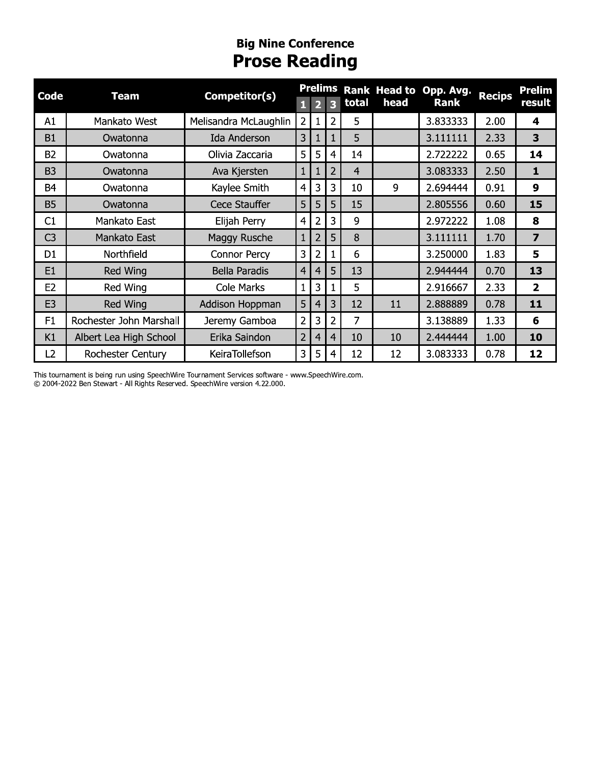## **Big Nine Conference**<br>**Prose Reading**

| <b>Code</b>    | <b>Team</b>             | Competitor(s)         | <b>Prelims</b> |                |                |                |      | Rank Head to Opp. Avg. | <b>Recips</b> | <b>Prelim</b>           |
|----------------|-------------------------|-----------------------|----------------|----------------|----------------|----------------|------|------------------------|---------------|-------------------------|
|                |                         |                       | 1              | 2              | 3              | total          | head | <b>Rank</b>            |               | result                  |
| A1             | Mankato West            | Melisandra McLaughlin | $\overline{2}$ | $\mathbf{1}$   | 2              | 5              |      | 3.833333               | 2.00          | $\overline{\mathbf{4}}$ |
| <b>B1</b>      | Owatonna                | <b>Ida Anderson</b>   | 3              |                |                | 5              |      | 3.111111               | 2.33          | 3                       |
| <b>B2</b>      | Owatonna                | Olivia Zaccaria       | 5              | 5              | 4              | 14             |      | 2.722222               | 0.65          | 14                      |
| B <sub>3</sub> | Owatonna                | Ava Kjersten          | $\mathbf{1}$   |                | $\overline{2}$ | $\overline{4}$ |      | 3.083333               | 2.50          | $\mathbf{1}$            |
| <b>B4</b>      | Owatonna                | Kaylee Smith          | 4              | 3              | 3              | 10             | 9    | 2.694444               | 0.91          | 9                       |
| <b>B5</b>      | Owatonna                | Cece Stauffer         | 5              | 5              | 5              | 15             |      | 2.805556               | 0.60          | 15                      |
| C1             | Mankato East            | Elijah Perry          | $\overline{4}$ | $\overline{2}$ | 3              | 9              |      | 2.972222               | 1.08          | 8                       |
| C <sub>3</sub> | Mankato East            | Maggy Rusche          | $\mathbf{1}$   | $\overline{2}$ | 5              | 8              |      | 3.111111               | 1.70          | $\overline{\mathbf{z}}$ |
| D <sub>1</sub> | Northfield              | Connor Percy          | 3              | $\overline{2}$ |                | 6              |      | 3.250000               | 1.83          | 5                       |
| E <sub>1</sub> | Red Wing                | <b>Bella Paradis</b>  | $\overline{4}$ | 4              | 5              | 13             |      | 2.944444               | 0.70          | 13                      |
| E <sub>2</sub> | Red Wing                | Cole Marks            | $\mathbf{1}$   | 3              |                | 5              |      | 2.916667               | 2.33          | $\overline{2}$          |
| E <sub>3</sub> | Red Wing                | Addison Hoppman       | 5              | $\overline{4}$ | 3              | 12             | 11   | 2.888889               | 0.78          | 11                      |
| F1             | Rochester John Marshall | Jeremy Gamboa         | 2              | 3              | 2              | 7              |      | 3.138889               | 1.33          | 6                       |
| K1             | Albert Lea High School  | Erika Saindon         | $\overline{2}$ | 4              | 4              | 10             | 10   | 2.444444               | 1.00          | 10                      |
| L2             | Rochester Century       | KeiraTollefson        | 3              | 5              | 4              | 12             | 12   | 3.083333               | 0.78          | 12                      |